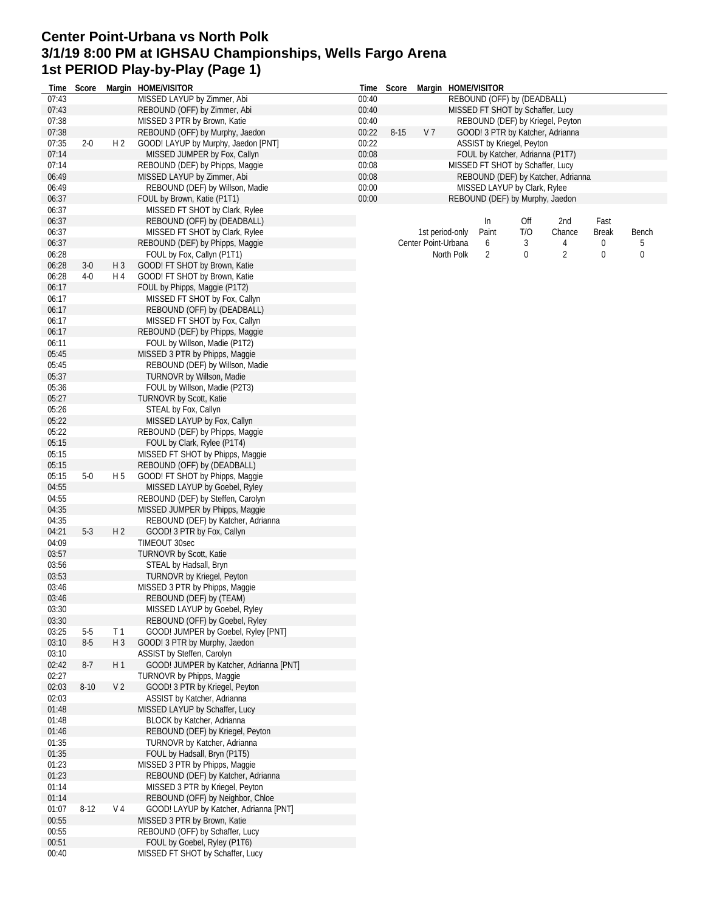## **Center Point-Urbana vs North Polk 3/1/19 8:00 PM at IGHSAU Championships, Wells Fargo Arena 1st PERIOD Play-by-Play (Page 1)**

|       |          |                | Time Score Margin HOME/VISITOR          |       | Time Score |                     |                 | Margin HOME/VISITOR              |     |                                    |              |       |
|-------|----------|----------------|-----------------------------------------|-------|------------|---------------------|-----------------|----------------------------------|-----|------------------------------------|--------------|-------|
| 07:43 |          |                | MISSED LAYUP by Zimmer, Abi             | 00:40 |            |                     |                 | REBOUND (OFF) by (DEADBALL)      |     |                                    |              |       |
| 07:43 |          |                | REBOUND (OFF) by Zimmer, Abi            | 00:40 |            |                     |                 | MISSED FT SHOT by Schaffer, Lucy |     |                                    |              |       |
| 07:38 |          |                | MISSED 3 PTR by Brown, Katie            | 00:40 |            |                     |                 |                                  |     | REBOUND (DEF) by Kriegel, Peyton   |              |       |
| 07:38 |          |                | REBOUND (OFF) by Murphy, Jaedon         | 00:22 | $8 - 15$   | V <sub>7</sub>      |                 |                                  |     | GOOD! 3 PTR by Katcher, Adrianna   |              |       |
| 07:35 | $2 - 0$  | H <sub>2</sub> | GOOD! LAYUP by Murphy, Jaedon [PNT]     | 00:22 |            |                     |                 | ASSIST by Kriegel, Peyton        |     |                                    |              |       |
| 07:14 |          |                | MISSED JUMPER by Fox, Callyn            | 00:08 |            |                     |                 |                                  |     | FOUL by Katcher, Adrianna (P1T7)   |              |       |
| 07:14 |          |                | REBOUND (DEF) by Phipps, Maggie         | 00:08 |            |                     |                 | MISSED FT SHOT by Schaffer, Lucy |     |                                    |              |       |
| 06:49 |          |                | MISSED LAYUP by Zimmer, Abi             | 00:08 |            |                     |                 |                                  |     | REBOUND (DEF) by Katcher, Adrianna |              |       |
| 06:49 |          |                | REBOUND (DEF) by Willson, Madie         | 00:00 |            |                     |                 | MISSED LAYUP by Clark, Rylee     |     |                                    |              |       |
| 06:37 |          |                | FOUL by Brown, Katie (P1T1)             | 00:00 |            |                     |                 |                                  |     | REBOUND (DEF) by Murphy, Jaedon    |              |       |
| 06:37 |          |                | MISSED FT SHOT by Clark, Rylee          |       |            |                     |                 |                                  |     |                                    |              |       |
| 06:37 |          |                | REBOUND (OFF) by (DEADBALL)             |       |            |                     |                 | In                               | Off | 2nd                                | Fast         |       |
| 06:37 |          |                | MISSED FT SHOT by Clark, Rylee          |       |            |                     | 1st period-only | Paint                            | T/O | Chance                             | <b>Break</b> | Bench |
| 06:37 |          |                | REBOUND (DEF) by Phipps, Maggie         |       |            | Center Point-Urbana |                 | 6                                | 3   | 4                                  | 0            |       |
| 06:28 |          |                | FOUL by Fox, Callyn (P1T1)              |       |            |                     | North Polk      | 2                                | 0   | $\overline{2}$                     | 0            | 0     |
| 06:28 | $3-0$    | $H_3$          | GOOD! FT SHOT by Brown, Katie           |       |            |                     |                 |                                  |     |                                    |              |       |
| 06:28 | $4 - 0$  | H 4            | GOOD! FT SHOT by Brown, Katie           |       |            |                     |                 |                                  |     |                                    |              |       |
| 06:17 |          |                | FOUL by Phipps, Maggie (P1T2)           |       |            |                     |                 |                                  |     |                                    |              |       |
| 06:17 |          |                | MISSED FT SHOT by Fox, Callyn           |       |            |                     |                 |                                  |     |                                    |              |       |
| 06:17 |          |                | REBOUND (OFF) by (DEADBALL)             |       |            |                     |                 |                                  |     |                                    |              |       |
| 06:17 |          |                | MISSED FT SHOT by Fox, Callyn           |       |            |                     |                 |                                  |     |                                    |              |       |
| 06:17 |          |                | REBOUND (DEF) by Phipps, Maggie         |       |            |                     |                 |                                  |     |                                    |              |       |
| 06:11 |          |                | FOUL by Willson, Madie (P1T2)           |       |            |                     |                 |                                  |     |                                    |              |       |
| 05:45 |          |                | MISSED 3 PTR by Phipps, Maggie          |       |            |                     |                 |                                  |     |                                    |              |       |
| 05:45 |          |                | REBOUND (DEF) by Willson, Madie         |       |            |                     |                 |                                  |     |                                    |              |       |
| 05:37 |          |                | TURNOVR by Willson, Madie               |       |            |                     |                 |                                  |     |                                    |              |       |
| 05:36 |          |                | FOUL by Willson, Madie (P2T3)           |       |            |                     |                 |                                  |     |                                    |              |       |
| 05:27 |          |                | <b>TURNOVR by Scott, Katie</b>          |       |            |                     |                 |                                  |     |                                    |              |       |
| 05:26 |          |                | STEAL by Fox, Callyn                    |       |            |                     |                 |                                  |     |                                    |              |       |
| 05:22 |          |                | MISSED LAYUP by Fox, Callyn             |       |            |                     |                 |                                  |     |                                    |              |       |
| 05:22 |          |                | REBOUND (DEF) by Phipps, Maggie         |       |            |                     |                 |                                  |     |                                    |              |       |
| 05:15 |          |                | FOUL by Clark, Rylee (P1T4)             |       |            |                     |                 |                                  |     |                                    |              |       |
| 05:15 |          |                | MISSED FT SHOT by Phipps, Maggie        |       |            |                     |                 |                                  |     |                                    |              |       |
| 05:15 |          |                | REBOUND (OFF) by (DEADBALL)             |       |            |                     |                 |                                  |     |                                    |              |       |
| 05:15 | $5-0$    | H <sub>5</sub> | GOOD! FT SHOT by Phipps, Maggie         |       |            |                     |                 |                                  |     |                                    |              |       |
| 04:55 |          |                | MISSED LAYUP by Goebel, Ryley           |       |            |                     |                 |                                  |     |                                    |              |       |
| 04:55 |          |                | REBOUND (DEF) by Steffen, Carolyn       |       |            |                     |                 |                                  |     |                                    |              |       |
| 04:35 |          |                | MISSED JUMPER by Phipps, Maggie         |       |            |                     |                 |                                  |     |                                    |              |       |
| 04:35 |          |                | REBOUND (DEF) by Katcher, Adrianna      |       |            |                     |                 |                                  |     |                                    |              |       |
| 04:21 | $5-3$    | H <sub>2</sub> | GOOD! 3 PTR by Fox, Callyn              |       |            |                     |                 |                                  |     |                                    |              |       |
| 04:09 |          |                | TIMEOUT 30sec                           |       |            |                     |                 |                                  |     |                                    |              |       |
| 03:57 |          |                | <b>TURNOVR by Scott, Katie</b>          |       |            |                     |                 |                                  |     |                                    |              |       |
| 03:56 |          |                | STEAL by Hadsall, Bryn                  |       |            |                     |                 |                                  |     |                                    |              |       |
| 03:53 |          |                | TURNOVR by Kriegel, Peyton              |       |            |                     |                 |                                  |     |                                    |              |       |
| 03:46 |          |                | MISSED 3 PTR by Phipps, Maggie          |       |            |                     |                 |                                  |     |                                    |              |       |
| 03:46 |          |                | REBOUND (DEF) by (TEAM)                 |       |            |                     |                 |                                  |     |                                    |              |       |
| 03:30 |          |                | MISSED LAYUP by Goebel, Ryley           |       |            |                     |                 |                                  |     |                                    |              |       |
| 03:30 |          |                | REBOUND (OFF) by Goebel, Ryley          |       |            |                     |                 |                                  |     |                                    |              |       |
| 03:25 | $5-5$    | T 1            | GOOD! JUMPER by Goebel, Ryley [PNT]     |       |            |                     |                 |                                  |     |                                    |              |       |
| 03:10 | $8-5$    | $H_3$          | GOOD! 3 PTR by Murphy, Jaedon           |       |            |                     |                 |                                  |     |                                    |              |       |
| 03:10 |          |                | ASSIST by Steffen, Carolyn              |       |            |                     |                 |                                  |     |                                    |              |       |
| 02:42 | $8-7$    | H 1            | GOOD! JUMPER by Katcher, Adrianna [PNT] |       |            |                     |                 |                                  |     |                                    |              |       |
| 02:27 |          |                | TURNOVR by Phipps, Maggie               |       |            |                     |                 |                                  |     |                                    |              |       |
| 02:03 | $8 - 10$ | V <sub>2</sub> | GOOD! 3 PTR by Kriegel, Peyton          |       |            |                     |                 |                                  |     |                                    |              |       |
| 02:03 |          |                | ASSIST by Katcher, Adrianna             |       |            |                     |                 |                                  |     |                                    |              |       |
| 01:48 |          |                | MISSED LAYUP by Schaffer, Lucy          |       |            |                     |                 |                                  |     |                                    |              |       |
| 01:48 |          |                | BLOCK by Katcher, Adrianna              |       |            |                     |                 |                                  |     |                                    |              |       |
| 01:46 |          |                | REBOUND (DEF) by Kriegel, Peyton        |       |            |                     |                 |                                  |     |                                    |              |       |
| 01:35 |          |                | TURNOVR by Katcher, Adrianna            |       |            |                     |                 |                                  |     |                                    |              |       |
| 01:35 |          |                | FOUL by Hadsall, Bryn (P1T5)            |       |            |                     |                 |                                  |     |                                    |              |       |
| 01:23 |          |                | MISSED 3 PTR by Phipps, Maggie          |       |            |                     |                 |                                  |     |                                    |              |       |
| 01:23 |          |                | REBOUND (DEF) by Katcher, Adrianna      |       |            |                     |                 |                                  |     |                                    |              |       |
| 01:14 |          |                | MISSED 3 PTR by Kriegel, Peyton         |       |            |                     |                 |                                  |     |                                    |              |       |
| 01:14 |          |                | REBOUND (OFF) by Neighbor, Chloe        |       |            |                     |                 |                                  |     |                                    |              |       |
| 01:07 | $8 - 12$ | V 4            | GOOD! LAYUP by Katcher, Adrianna [PNT]  |       |            |                     |                 |                                  |     |                                    |              |       |
| 00:55 |          |                | MISSED 3 PTR by Brown, Katie            |       |            |                     |                 |                                  |     |                                    |              |       |
| 00:55 |          |                | REBOUND (OFF) by Schaffer, Lucy         |       |            |                     |                 |                                  |     |                                    |              |       |
| 00:51 |          |                | FOUL by Goebel, Ryley (P1T6)            |       |            |                     |                 |                                  |     |                                    |              |       |
| 00:40 |          |                | MISSED FT SHOT by Schaffer, Lucy        |       |            |                     |                 |                                  |     |                                    |              |       |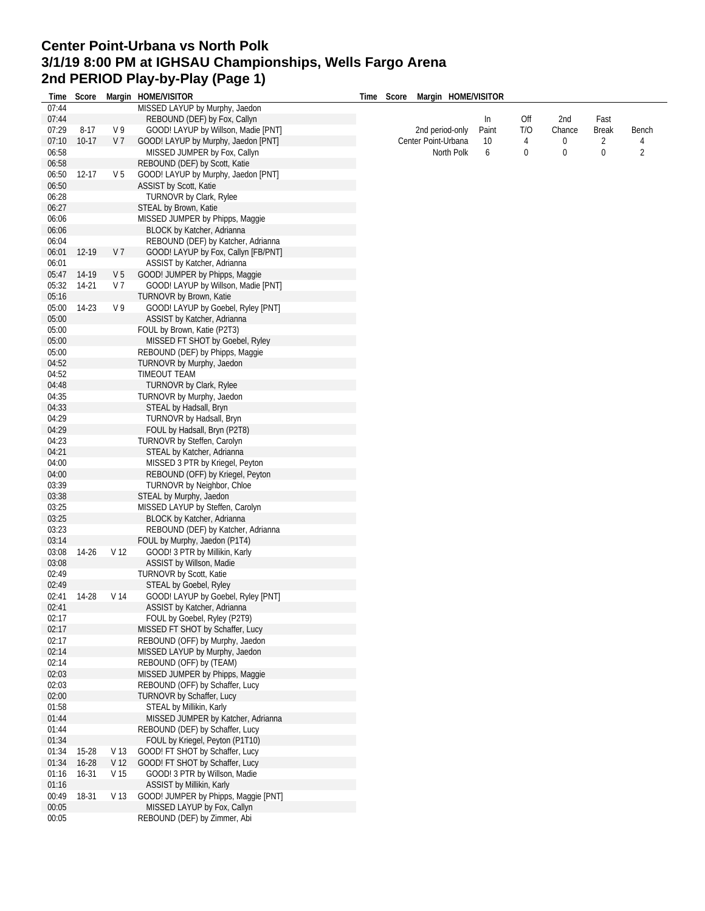## **Center Point-Urbana vs North Polk 3/1/19 8:00 PM at IGHSAU Championships, Wells Fargo Arena 2nd PERIOD Play-by-Play (Page 1)**

| Time  | Score     |                 | Margin HOME/VISITOR                  | Time | Score | Margin HOME/VISITOR |       |     |        |              |                |
|-------|-----------|-----------------|--------------------------------------|------|-------|---------------------|-------|-----|--------|--------------|----------------|
| 07:44 |           |                 | MISSED LAYUP by Murphy, Jaedon       |      |       |                     |       |     |        |              |                |
| 07:44 |           |                 | REBOUND (DEF) by Fox, Callyn         |      |       |                     | In    | Off | 2nd    | Fast         |                |
| 07:29 | $8 - 17$  | V 9             | GOOD! LAYUP by Willson, Madie [PNT]  |      |       | 2nd period-only     | Paint | T/O | Chance | <b>Break</b> | Bench          |
| 07:10 | $10-17$   | V <sub>7</sub>  | GOOD! LAYUP by Murphy, Jaedon [PNT]  |      |       | Center Point-Urbana | 10    | 4   | 0      | 2            | 4              |
| 06:58 |           |                 | MISSED JUMPER by Fox, Callyn         |      |       | North Polk          | 6     | 0   | 0      | 0            | $\overline{2}$ |
| 06:58 |           |                 | REBOUND (DEF) by Scott, Katie        |      |       |                     |       |     |        |              |                |
| 06:50 | $12 - 17$ | V <sub>5</sub>  | GOOD! LAYUP by Murphy, Jaedon [PNT]  |      |       |                     |       |     |        |              |                |
| 06:50 |           |                 | ASSIST by Scott, Katie               |      |       |                     |       |     |        |              |                |
| 06:28 |           |                 | <b>TURNOVR by Clark, Rylee</b>       |      |       |                     |       |     |        |              |                |
| 06:27 |           |                 | STEAL by Brown, Katie                |      |       |                     |       |     |        |              |                |
| 06:06 |           |                 | MISSED JUMPER by Phipps, Maggie      |      |       |                     |       |     |        |              |                |
|       |           |                 |                                      |      |       |                     |       |     |        |              |                |
| 06:06 |           |                 | BLOCK by Katcher, Adrianna           |      |       |                     |       |     |        |              |                |
| 06:04 |           |                 | REBOUND (DEF) by Katcher, Adrianna   |      |       |                     |       |     |        |              |                |
| 06:01 | 12-19     | V <sub>7</sub>  | GOOD! LAYUP by Fox, Callyn [FB/PNT]  |      |       |                     |       |     |        |              |                |
| 06:01 |           |                 | ASSIST by Katcher, Adrianna          |      |       |                     |       |     |        |              |                |
| 05:47 | 14-19     | V <sub>5</sub>  | GOOD! JUMPER by Phipps, Maggie       |      |       |                     |       |     |        |              |                |
| 05:32 | 14-21     | V <sub>7</sub>  | GOOD! LAYUP by Willson, Madie [PNT]  |      |       |                     |       |     |        |              |                |
| 05:16 |           |                 | TURNOVR by Brown, Katie              |      |       |                     |       |     |        |              |                |
| 05:00 | 14-23     | V <sub>9</sub>  | GOOD! LAYUP by Goebel, Ryley [PNT]   |      |       |                     |       |     |        |              |                |
| 05:00 |           |                 | ASSIST by Katcher, Adrianna          |      |       |                     |       |     |        |              |                |
| 05:00 |           |                 | FOUL by Brown, Katie (P2T3)          |      |       |                     |       |     |        |              |                |
| 05:00 |           |                 | MISSED FT SHOT by Goebel, Ryley      |      |       |                     |       |     |        |              |                |
| 05:00 |           |                 | REBOUND (DEF) by Phipps, Maggie      |      |       |                     |       |     |        |              |                |
| 04:52 |           |                 | TURNOVR by Murphy, Jaedon            |      |       |                     |       |     |        |              |                |
| 04:52 |           |                 | TIMEOUT TEAM                         |      |       |                     |       |     |        |              |                |
| 04:48 |           |                 | TURNOVR by Clark, Rylee              |      |       |                     |       |     |        |              |                |
| 04:35 |           |                 | TURNOVR by Murphy, Jaedon            |      |       |                     |       |     |        |              |                |
| 04:33 |           |                 |                                      |      |       |                     |       |     |        |              |                |
|       |           |                 | STEAL by Hadsall, Bryn               |      |       |                     |       |     |        |              |                |
| 04:29 |           |                 | TURNOVR by Hadsall, Bryn             |      |       |                     |       |     |        |              |                |
| 04:29 |           |                 | FOUL by Hadsall, Bryn (P2T8)         |      |       |                     |       |     |        |              |                |
| 04:23 |           |                 | TURNOVR by Steffen, Carolyn          |      |       |                     |       |     |        |              |                |
| 04:21 |           |                 | STEAL by Katcher, Adrianna           |      |       |                     |       |     |        |              |                |
| 04:00 |           |                 | MISSED 3 PTR by Kriegel, Peyton      |      |       |                     |       |     |        |              |                |
| 04:00 |           |                 | REBOUND (OFF) by Kriegel, Peyton     |      |       |                     |       |     |        |              |                |
| 03:39 |           |                 | TURNOVR by Neighbor, Chloe           |      |       |                     |       |     |        |              |                |
| 03:38 |           |                 | STEAL by Murphy, Jaedon              |      |       |                     |       |     |        |              |                |
| 03:25 |           |                 | MISSED LAYUP by Steffen, Carolyn     |      |       |                     |       |     |        |              |                |
| 03:25 |           |                 | BLOCK by Katcher, Adrianna           |      |       |                     |       |     |        |              |                |
| 03:23 |           |                 | REBOUND (DEF) by Katcher, Adrianna   |      |       |                     |       |     |        |              |                |
| 03:14 |           |                 | FOUL by Murphy, Jaedon (P1T4)        |      |       |                     |       |     |        |              |                |
| 03:08 | 14-26     | V <sub>12</sub> | GOOD! 3 PTR by Millikin, Karly       |      |       |                     |       |     |        |              |                |
| 03:08 |           |                 | ASSIST by Willson, Madie             |      |       |                     |       |     |        |              |                |
| 02:49 |           |                 | TURNOVR by Scott, Katie              |      |       |                     |       |     |        |              |                |
| 02:49 |           |                 | STEAL by Goebel, Ryley               |      |       |                     |       |     |        |              |                |
| 02:41 | 14-28     | V 14            | GOOD! LAYUP by Goebel, Ryley [PNT]   |      |       |                     |       |     |        |              |                |
| 02:41 |           |                 | ASSIST by Katcher, Adrianna          |      |       |                     |       |     |        |              |                |
| 02:17 |           |                 | FOUL by Goebel, Ryley (P2T9)         |      |       |                     |       |     |        |              |                |
| 02:17 |           |                 | MISSED FT SHOT by Schaffer, Lucy     |      |       |                     |       |     |        |              |                |
| 02:17 |           |                 | REBOUND (OFF) by Murphy, Jaedon      |      |       |                     |       |     |        |              |                |
| 02:14 |           |                 | MISSED LAYUP by Murphy, Jaedon       |      |       |                     |       |     |        |              |                |
| 02:14 |           |                 |                                      |      |       |                     |       |     |        |              |                |
|       |           |                 | REBOUND (OFF) by (TEAM)              |      |       |                     |       |     |        |              |                |
| 02:03 |           |                 | MISSED JUMPER by Phipps, Maggie      |      |       |                     |       |     |        |              |                |
| 02:03 |           |                 | REBOUND (OFF) by Schaffer, Lucy      |      |       |                     |       |     |        |              |                |
| 02:00 |           |                 | TURNOVR by Schaffer, Lucy            |      |       |                     |       |     |        |              |                |
| 01:58 |           |                 | STEAL by Millikin, Karly             |      |       |                     |       |     |        |              |                |
| 01:44 |           |                 | MISSED JUMPER by Katcher, Adrianna   |      |       |                     |       |     |        |              |                |
| 01:44 |           |                 | REBOUND (DEF) by Schaffer, Lucy      |      |       |                     |       |     |        |              |                |
| 01:34 |           |                 | FOUL by Kriegel, Peyton (P1T10)      |      |       |                     |       |     |        |              |                |
| 01:34 | 15-28     | V 13            | GOOD! FT SHOT by Schaffer, Lucy      |      |       |                     |       |     |        |              |                |
| 01:34 | $16 - 28$ | V <sub>12</sub> | GOOD! FT SHOT by Schaffer, Lucy      |      |       |                     |       |     |        |              |                |
| 01:16 | $16 - 31$ | V <sub>15</sub> | GOOD! 3 PTR by Willson, Madie        |      |       |                     |       |     |        |              |                |
| 01:16 |           |                 | ASSIST by Millikin, Karly            |      |       |                     |       |     |        |              |                |
| 00:49 | 18-31     | V 13            | GOOD! JUMPER by Phipps, Maggie [PNT] |      |       |                     |       |     |        |              |                |
| 00:05 |           |                 | MISSED LAYUP by Fox, Callyn          |      |       |                     |       |     |        |              |                |
| 00:05 |           |                 | REBOUND (DEF) by Zimmer, Abi         |      |       |                     |       |     |        |              |                |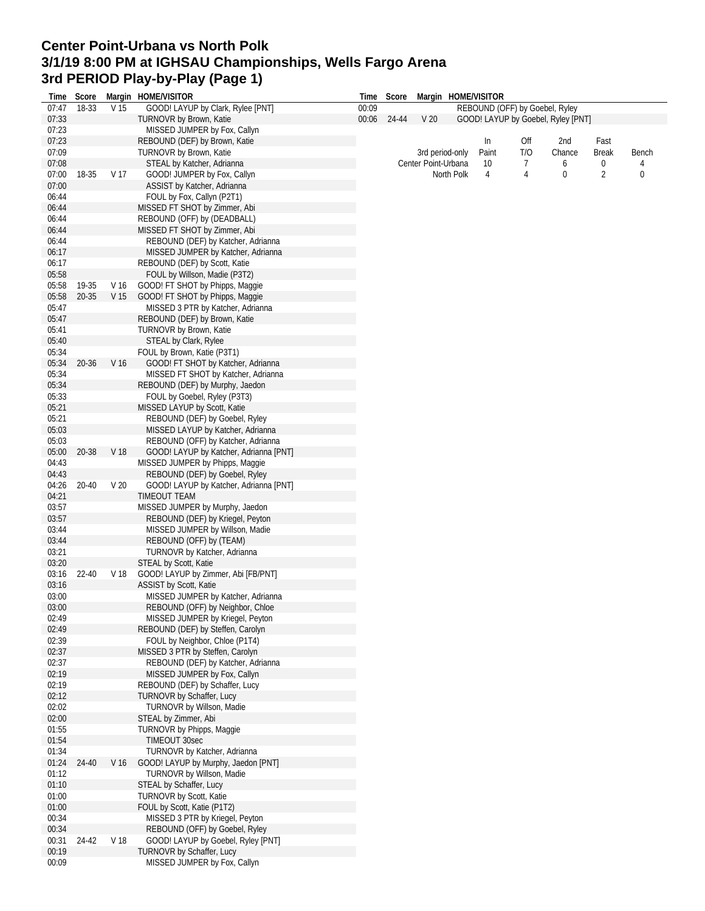## **Center Point-Urbana vs North Polk 3/1/19 8:00 PM at IGHSAU Championships, Wells Fargo Arena 3rd PERIOD Play-by-Play (Page 1)**

| Time  | Score |                 | Margin HOME/VISITOR                    | Time  | Score |                     |            | Margin HOME/VISITOR |                                |                                    |                |       |
|-------|-------|-----------------|----------------------------------------|-------|-------|---------------------|------------|---------------------|--------------------------------|------------------------------------|----------------|-------|
| 07:47 | 18-33 | V 15            | GOOD! LAYUP by Clark, Rylee [PNT]      | 00:09 |       |                     |            |                     | REBOUND (OFF) by Goebel, Ryley |                                    |                |       |
| 07:33 |       |                 | <b>TURNOVR by Brown, Katie</b>         | 00:06 | 24-44 | V <sub>20</sub>     |            |                     |                                | GOOD! LAYUP by Goebel, Ryley [PNT] |                |       |
| 07:23 |       |                 | MISSED JUMPER by Fox, Callyn           |       |       |                     |            |                     |                                |                                    |                |       |
| 07:23 |       |                 | REBOUND (DEF) by Brown, Katie          |       |       |                     |            | In                  | Off                            | 2nd                                | Fast           |       |
| 07:09 |       |                 | TURNOVR by Brown, Katie                |       |       | 3rd period-only     |            | Paint               | T/O                            | Chance                             | <b>Break</b>   | Bench |
| 07:08 |       |                 | STEAL by Katcher, Adrianna             |       |       | Center Point-Urbana |            | 10                  | 7                              | 6                                  | 0              | 4     |
| 07:00 | 18-35 | V 17            | GOOD! JUMPER by Fox, Callyn            |       |       |                     | North Polk | 4                   | 4                              | 0                                  | $\overline{2}$ | 0     |
| 07:00 |       |                 | ASSIST by Katcher, Adrianna            |       |       |                     |            |                     |                                |                                    |                |       |
| 06:44 |       |                 | FOUL by Fox, Callyn (P2T1)             |       |       |                     |            |                     |                                |                                    |                |       |
|       |       |                 |                                        |       |       |                     |            |                     |                                |                                    |                |       |
| 06:44 |       |                 | MISSED FT SHOT by Zimmer, Abi          |       |       |                     |            |                     |                                |                                    |                |       |
| 06:44 |       |                 | REBOUND (OFF) by (DEADBALL)            |       |       |                     |            |                     |                                |                                    |                |       |
| 06:44 |       |                 | MISSED FT SHOT by Zimmer, Abi          |       |       |                     |            |                     |                                |                                    |                |       |
| 06:44 |       |                 | REBOUND (DEF) by Katcher, Adrianna     |       |       |                     |            |                     |                                |                                    |                |       |
| 06:17 |       |                 | MISSED JUMPER by Katcher, Adrianna     |       |       |                     |            |                     |                                |                                    |                |       |
| 06:17 |       |                 | REBOUND (DEF) by Scott, Katie          |       |       |                     |            |                     |                                |                                    |                |       |
| 05:58 |       |                 | FOUL by Willson, Madie (P3T2)          |       |       |                     |            |                     |                                |                                    |                |       |
| 05:58 | 19-35 | V 16            | GOOD! FT SHOT by Phipps, Maggie        |       |       |                     |            |                     |                                |                                    |                |       |
| 05:58 | 20-35 | V <sub>15</sub> | GOOD! FT SHOT by Phipps, Maggie        |       |       |                     |            |                     |                                |                                    |                |       |
| 05:47 |       |                 | MISSED 3 PTR by Katcher, Adrianna      |       |       |                     |            |                     |                                |                                    |                |       |
| 05:47 |       |                 | REBOUND (DEF) by Brown, Katie          |       |       |                     |            |                     |                                |                                    |                |       |
| 05:41 |       |                 | <b>TURNOVR by Brown, Katie</b>         |       |       |                     |            |                     |                                |                                    |                |       |
| 05:40 |       |                 |                                        |       |       |                     |            |                     |                                |                                    |                |       |
|       |       |                 | STEAL by Clark, Rylee                  |       |       |                     |            |                     |                                |                                    |                |       |
| 05:34 |       |                 | FOUL by Brown, Katie (P3T1)            |       |       |                     |            |                     |                                |                                    |                |       |
| 05:34 | 20-36 | V 16            | GOOD! FT SHOT by Katcher, Adrianna     |       |       |                     |            |                     |                                |                                    |                |       |
| 05:34 |       |                 | MISSED FT SHOT by Katcher, Adrianna    |       |       |                     |            |                     |                                |                                    |                |       |
| 05:34 |       |                 | REBOUND (DEF) by Murphy, Jaedon        |       |       |                     |            |                     |                                |                                    |                |       |
| 05:33 |       |                 | FOUL by Goebel, Ryley (P3T3)           |       |       |                     |            |                     |                                |                                    |                |       |
| 05:21 |       |                 | MISSED LAYUP by Scott, Katie           |       |       |                     |            |                     |                                |                                    |                |       |
| 05:21 |       |                 | REBOUND (DEF) by Goebel, Ryley         |       |       |                     |            |                     |                                |                                    |                |       |
| 05:03 |       |                 | MISSED LAYUP by Katcher, Adrianna      |       |       |                     |            |                     |                                |                                    |                |       |
| 05:03 |       |                 | REBOUND (OFF) by Katcher, Adrianna     |       |       |                     |            |                     |                                |                                    |                |       |
| 05:00 | 20-38 | V 18            | GOOD! LAYUP by Katcher, Adrianna [PNT] |       |       |                     |            |                     |                                |                                    |                |       |
| 04:43 |       |                 | MISSED JUMPER by Phipps, Maggie        |       |       |                     |            |                     |                                |                                    |                |       |
| 04:43 |       |                 | REBOUND (DEF) by Goebel, Ryley         |       |       |                     |            |                     |                                |                                    |                |       |
|       |       |                 |                                        |       |       |                     |            |                     |                                |                                    |                |       |
| 04:26 | 20-40 | V <sub>20</sub> | GOOD! LAYUP by Katcher, Adrianna [PNT] |       |       |                     |            |                     |                                |                                    |                |       |
| 04:21 |       |                 | <b>TIMEOUT TEAM</b>                    |       |       |                     |            |                     |                                |                                    |                |       |
| 03:57 |       |                 | MISSED JUMPER by Murphy, Jaedon        |       |       |                     |            |                     |                                |                                    |                |       |
| 03:57 |       |                 | REBOUND (DEF) by Kriegel, Peyton       |       |       |                     |            |                     |                                |                                    |                |       |
| 03:44 |       |                 | MISSED JUMPER by Willson, Madie        |       |       |                     |            |                     |                                |                                    |                |       |
| 03:44 |       |                 | REBOUND (OFF) by (TEAM)                |       |       |                     |            |                     |                                |                                    |                |       |
| 03:21 |       |                 | TURNOVR by Katcher, Adrianna           |       |       |                     |            |                     |                                |                                    |                |       |
| 03:20 |       |                 | STEAL by Scott, Katie                  |       |       |                     |            |                     |                                |                                    |                |       |
| 03:16 | 22-40 | V 18            | GOOD! LAYUP by Zimmer, Abi [FB/PNT]    |       |       |                     |            |                     |                                |                                    |                |       |
| 03:16 |       |                 | <b>ASSIST by Scott, Katie</b>          |       |       |                     |            |                     |                                |                                    |                |       |
| 03:00 |       |                 | MISSED JUMPER by Katcher, Adrianna     |       |       |                     |            |                     |                                |                                    |                |       |
| 03:00 |       |                 | REBOUND (OFF) by Neighbor, Chloe       |       |       |                     |            |                     |                                |                                    |                |       |
| 02:49 |       |                 | MISSED JUMPER by Kriegel, Peyton       |       |       |                     |            |                     |                                |                                    |                |       |
| 02:49 |       |                 | REBOUND (DEF) by Steffen, Carolyn      |       |       |                     |            |                     |                                |                                    |                |       |
|       |       |                 |                                        |       |       |                     |            |                     |                                |                                    |                |       |
| 02:39 |       |                 | FOUL by Neighbor, Chloe (P1T4)         |       |       |                     |            |                     |                                |                                    |                |       |
| 02:37 |       |                 | MISSED 3 PTR by Steffen, Carolyn       |       |       |                     |            |                     |                                |                                    |                |       |
| 02:37 |       |                 | REBOUND (DEF) by Katcher, Adrianna     |       |       |                     |            |                     |                                |                                    |                |       |
| 02:19 |       |                 | MISSED JUMPER by Fox, Callyn           |       |       |                     |            |                     |                                |                                    |                |       |
| 02:19 |       |                 | REBOUND (DEF) by Schaffer, Lucy        |       |       |                     |            |                     |                                |                                    |                |       |
| 02:12 |       |                 | TURNOVR by Schaffer, Lucy              |       |       |                     |            |                     |                                |                                    |                |       |
| 02:02 |       |                 | TURNOVR by Willson, Madie              |       |       |                     |            |                     |                                |                                    |                |       |
| 02:00 |       |                 | STEAL by Zimmer, Abi                   |       |       |                     |            |                     |                                |                                    |                |       |
| 01:55 |       |                 | TURNOVR by Phipps, Maggie              |       |       |                     |            |                     |                                |                                    |                |       |
| 01:54 |       |                 | <b>TIMEOUT 30sec</b>                   |       |       |                     |            |                     |                                |                                    |                |       |
| 01:34 |       |                 | TURNOVR by Katcher, Adrianna           |       |       |                     |            |                     |                                |                                    |                |       |
| 01:24 | 24-40 | V 16            | GOOD! LAYUP by Murphy, Jaedon [PNT]    |       |       |                     |            |                     |                                |                                    |                |       |
| 01:12 |       |                 | TURNOVR by Willson, Madie              |       |       |                     |            |                     |                                |                                    |                |       |
| 01:10 |       |                 | STEAL by Schaffer, Lucy                |       |       |                     |            |                     |                                |                                    |                |       |
| 01:00 |       |                 |                                        |       |       |                     |            |                     |                                |                                    |                |       |
|       |       |                 | TURNOVR by Scott, Katie                |       |       |                     |            |                     |                                |                                    |                |       |
| 01:00 |       |                 | FOUL by Scott, Katie (P1T2)            |       |       |                     |            |                     |                                |                                    |                |       |
| 00:34 |       |                 | MISSED 3 PTR by Kriegel, Peyton        |       |       |                     |            |                     |                                |                                    |                |       |
| 00:34 |       |                 | REBOUND (OFF) by Goebel, Ryley         |       |       |                     |            |                     |                                |                                    |                |       |
| 00:31 | 24-42 | V 18            | GOOD! LAYUP by Goebel, Ryley [PNT]     |       |       |                     |            |                     |                                |                                    |                |       |
| 00:19 |       |                 | TURNOVR by Schaffer, Lucy              |       |       |                     |            |                     |                                |                                    |                |       |
| 00:09 |       |                 | MISSED JUMPER by Fox, Callyn           |       |       |                     |            |                     |                                |                                    |                |       |